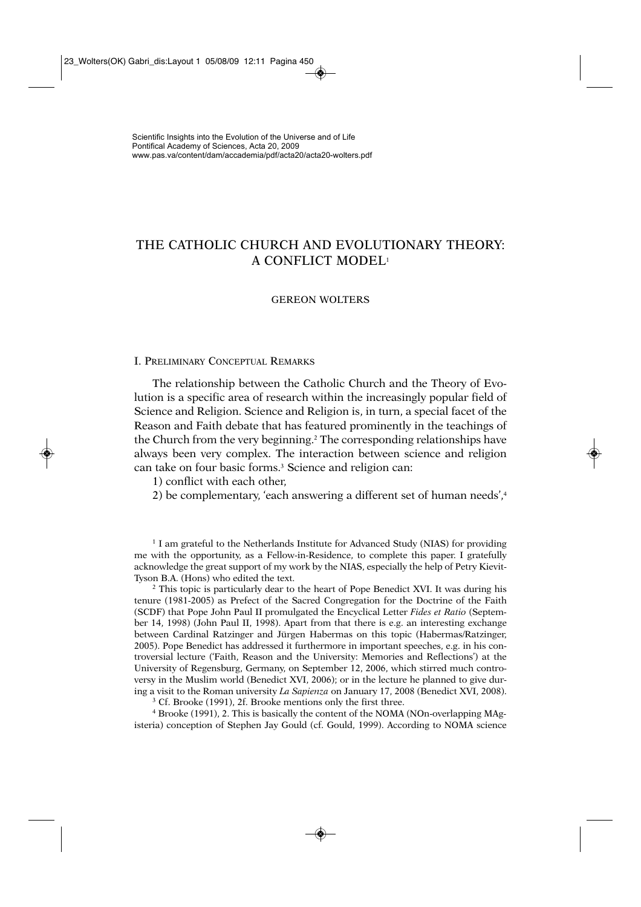# THE CATHOLIC CHURCH AND EVOLUTIONARY THEORY: A CONFLICT MODEL1

## GEREON WOLTERS

### I. PRELIMINARY CONCEPTUAL REMARKS

The relationship between the Catholic Church and the Theory of Evolution is a specific area of research within the increasingly popular field of Science and Religion. Science and Religion is, in turn, a special facet of the Reason and Faith debate that has featured prominently in the teachings of the Church from the very beginning.<sup>2</sup> The corresponding relationships have always been very complex. The interaction between science and religion can take on four basic forms.<sup>3</sup> Science and religion can:

1) conflict with each other,

2) be complementary, 'each answering a different set of human needs',<sup>4</sup>

<sup>1</sup> I am grateful to the Netherlands Institute for Advanced Study (NIAS) for providing me with the opportunity, as a Fellow-in-Residence, to complete this paper. I gratefully acknowledge the great support of my work by the NIAS, especially the help of Petry Kievit-Tyson B.A. (Hons) who edited the text.

<sup>2</sup> This topic is particularly dear to the heart of Pope Benedict XVI. It was during his tenure (1981-2005) as Prefect of the Sacred Congregation for the Doctrine of the Faith (SCDF) that Pope John Paul II promulgated the Encyclical Letter *Fides et Ratio* (September 14, 1998) (John Paul II, 1998). Apart from that there is e.g. an interesting exchange between Cardinal Ratzinger and Jürgen Habermas on this topic (Habermas/Ratzinger, 2005). Pope Benedict has addressed it furthermore in important speeches, e.g. in his controversial lecture ('Faith, Reason and the University: Memories and Reflections') at the University of Regensburg, Germany, on September 12, 2006, which stirred much controversy in the Muslim world (Benedict XVI, 2006); or in the lecture he planned to give during a visit to the Roman university *La Sapienza* on January 17, 2008 (Benedict XVI, 2008). 3 Cf. Brooke (1991), 2f. Brooke mentions only the first three.

<sup>4</sup> Brooke (1991), 2. This is basically the content of the NOMA (NOn-overlapping MAgisteria) conception of Stephen Jay Gould (cf. Gould, 1999). According to NOMA science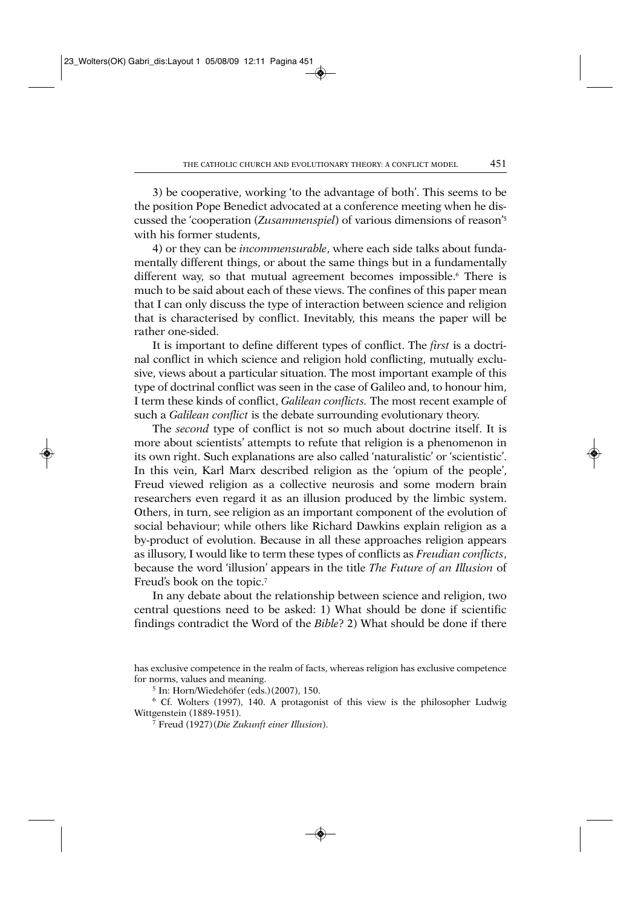3) be cooperative, working 'to the advantage of both'. This seems to be the position Pope Benedict advocated at a conference meeting when he discussed the 'cooperation (*Zusammenspiel*) of various dimensions of reason'5 with his former students,

4) or they can be *incommensurable*, where each side talks about fundamentally different things, or about the same things but in a fundamentally different way, so that mutual agreement becomes impossible.<sup>6</sup> There is much to be said about each of these views. The confines of this paper mean that I can only discuss the type of interaction between science and religion that is characterised by conflict. Inevitably, this means the paper will be rather one-sided.

It is important to define different types of conflict. The *first* is a doctrinal conflict in which science and religion hold conflicting, mutually exclusive, views about a particular situation. The most important example of this type of doctrinal conflict was seen in the case of Galileo and, to honour him, I term these kinds of conflict, *Galilean conflicts.* The most recent example of such a *Galilean conflict* is the debate surrounding evolutionary theory.

The *second* type of conflict is not so much about doctrine itself. It is more about scientists' attempts to refute that religion is a phenomenon in its own right. Such explanations are also called 'naturalistic' or 'scientistic'. In this vein, Karl Marx described religion as the 'opium of the people', Freud viewed religion as a collective neurosis and some modern brain researchers even regard it as an illusion produced by the limbic system. Others, in turn, see religion as an important component of the evolution of social behaviour; while others like Richard Dawkins explain religion as a by-product of evolution. Because in all these approaches religion appears as illusory, I would like to term these types of conflicts as *Freudian conflicts*, because the word 'illusion' appears in the title *The Future of an Illusion* of Freud's book on the topic.<sup>7</sup>

In any debate about the relationship between science and religion, two central questions need to be asked: 1) What should be done if scientific findings contradict the Word of the *Bible*? 2) What should be done if there

<sup>5</sup> In: Horn/Wiedehöfer (eds.)(2007), 150.

<sup>6</sup> Cf. Wolters (1997), 140. A protagonist of this view is the philosopher Ludwig Wittgenstein (1889-1951).

<sup>7</sup> Freud (1927)(*Die Zukunft einer Illusion*).

has exclusive competence in the realm of facts, whereas religion has exclusive competence for norms, values and meaning.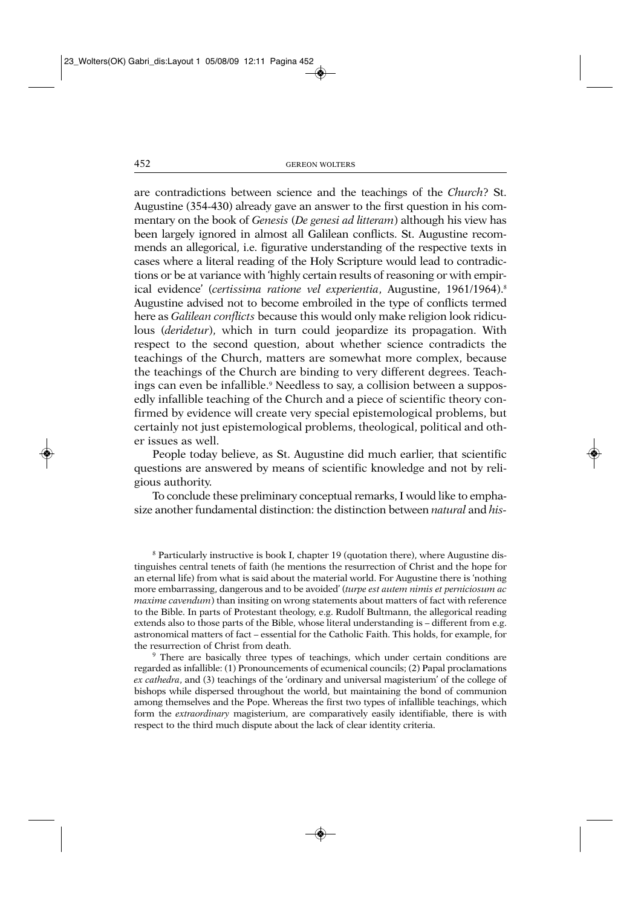are contradictions between science and the teachings of the *Church*? St. Augustine (354-430) already gave an answer to the first question in his commentary on the book of *Genesis* (*De genesi ad litteram*) although his view has been largely ignored in almost all Galilean conflicts. St. Augustine recommends an allegorical, i.e. figurative understanding of the respective texts in cases where a literal reading of the Holy Scripture would lead to contradictions or be at variance with 'highly certain results of reasoning or with empirical evidence' (certissima ratione vel experientia, Augustine, 1961/1964).<sup>8</sup> Augustine advised not to become embroiled in the type of conflicts termed here as *Galilean conflicts* because this would only make religion look ridiculous (*deridetur*), which in turn could jeopardize its propagation. With respect to the second question, about whether science contradicts the teachings of the Church, matters are somewhat more complex, because the teachings of the Church are binding to very different degrees. Teachings can even be infallible.<sup>9</sup> Needless to say, a collision between a supposedly infallible teaching of the Church and a piece of scientific theory confirmed by evidence will create very special epistemological problems, but certainly not just epistemological problems, theological, political and other issues as well.

People today believe, as St. Augustine did much earlier, that scientific questions are answered by means of scientific knowledge and not by religious authority.

To conclude these preliminary conceptual remarks, I would like to emphasize another fundamental distinction: the distinction between *natural* and *his-*

<sup>8</sup> Particularly instructive is book I, chapter 19 (quotation there), where Augustine distinguishes central tenets of faith (he mentions the resurrection of Christ and the hope for an eternal life) from what is said about the material world. For Augustine there is 'nothing more embarrassing, dangerous and to be avoided' (*turpe est autem nimis et perniciosum ac maxime cavendum*) than insiting on wrong statements about matters of fact with reference to the Bible. In parts of Protestant theology, e.g. Rudolf Bultmann, the allegorical reading extends also to those parts of the Bible, whose literal understanding is – different from e.g. astronomical matters of fact – essential for the Catholic Faith. This holds, for example, for the resurrection of Christ from death.

<sup>9</sup> There are basically three types of teachings, which under certain conditions are regarded as infallible: (1) Pronouncements of ecumenical councils; (2) Papal proclamations *ex cathedra*, and (3) teachings of the 'ordinary and universal magisterium' of the college of bishops while dispersed throughout the world, but maintaining the bond of communion among themselves and the Pope. Whereas the first two types of infallible teachings, which form the *extraordinary* magisterium, are comparatively easily identifiable, there is with respect to the third much dispute about the lack of clear identity criteria.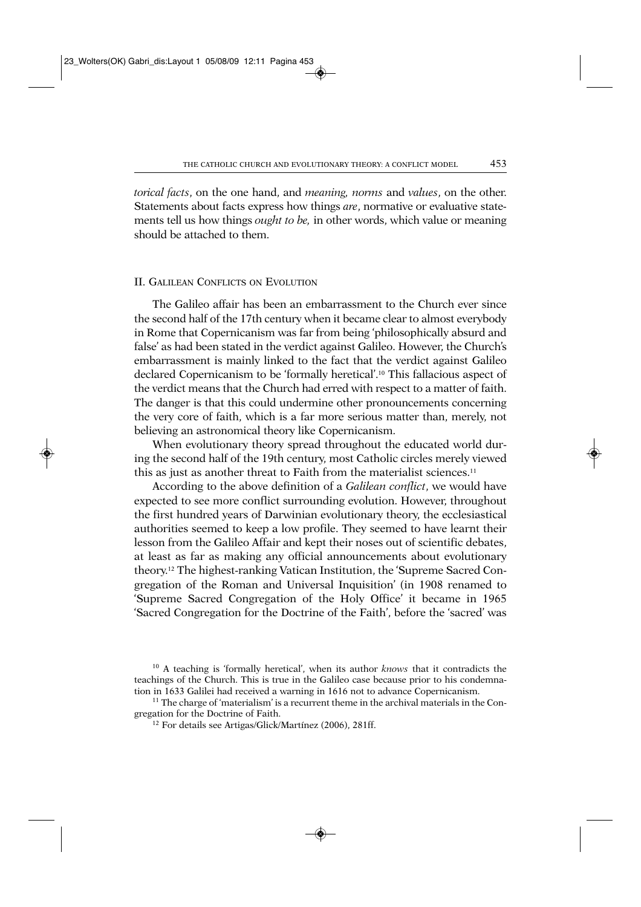*torical facts*, on the one hand, and *meaning, norms* and *values*, on the other. Statements about facts express how things *are*, normative or evaluative statements tell us how things *ought to be,* in other words, which value or meaning should be attached to them.

# II. GALILEAN CONFLICTS ON EVOLUTION

The Galileo affair has been an embarrassment to the Church ever since the second half of the 17th century when it became clear to almost everybody in Rome that Copernicanism was far from being 'philosophically absurd and false' as had been stated in the verdict against Galileo. However, the Church's embarrassment is mainly linked to the fact that the verdict against Galileo declared Copernicanism to be 'formally heretical'.10 This fallacious aspect of the verdict means that the Church had erred with respect to a matter of faith. The danger is that this could undermine other pronouncements concerning the very core of faith, which is a far more serious matter than, merely, not believing an astronomical theory like Copernicanism.

When evolutionary theory spread throughout the educated world during the second half of the 19th century, most Catholic circles merely viewed this as just as another threat to Faith from the materialist sciences.<sup>11</sup>

According to the above definition of a *Galilean conflict*, we would have expected to see more conflict surrounding evolution. However, throughout the first hundred years of Darwinian evolutionary theory, the ecclesiastical authorities seemed to keep a low profile. They seemed to have learnt their lesson from the Galileo Affair and kept their noses out of scientific debates, at least as far as making any official announcements about evolutionary theory.12 The highest-ranking Vatican Institution, the 'Supreme Sacred Congregation of the Roman and Universal Inquisition' (in 1908 renamed to 'Supreme Sacred Congregation of the Holy Office' it became in 1965 'Sacred Congregation for the Doctrine of the Faith', before the 'sacred' was

<sup>10</sup> A teaching is 'formally heretical', when its author *knows* that it contradicts the teachings of the Church. This is true in the Galileo case because prior to his condemnation in 1633 Galilei had received a warning in 1616 not to advance Copernicanism.<br><sup>11</sup> The charge of 'materialism' is a recurrent theme in the archival materials in the Con-

gregation for the Doctrine of Faith.

<sup>12</sup> For details see Artigas/Glick/Martínez (2006), 281ff.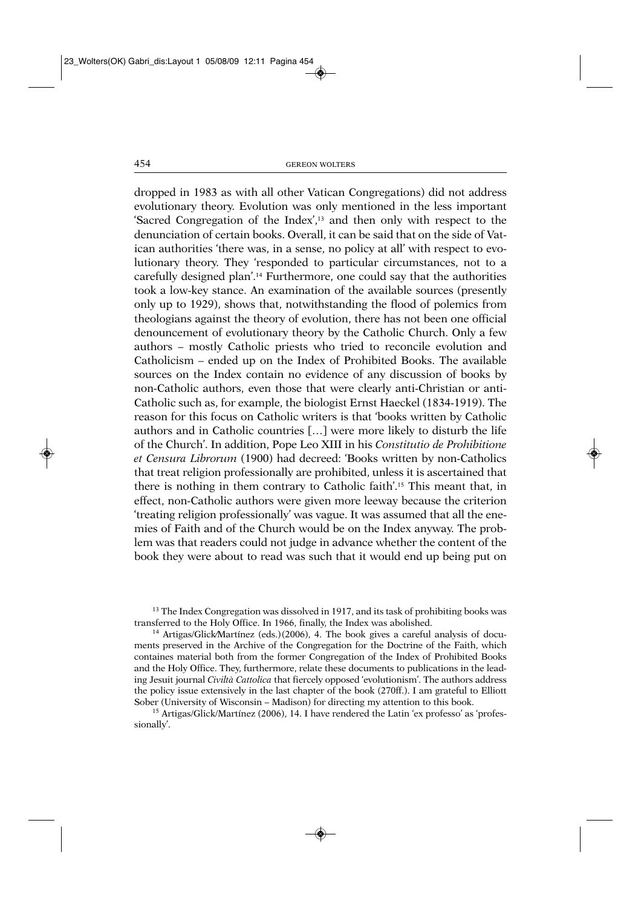dropped in 1983 as with all other Vatican Congregations) did not address evolutionary theory. Evolution was only mentioned in the less important 'Sacred Congregation of the Index',13 and then only with respect to the denunciation of certain books. Overall, it can be said that on the side of Vatican authorities 'there was, in a sense, no policy at all' with respect to evolutionary theory. They 'responded to particular circumstances, not to a carefully designed plan'.14 Furthermore, one could say that the authorities took a low-key stance. An examination of the available sources (presently only up to 1929), shows that, notwithstanding the flood of polemics from theologians against the theory of evolution, there has not been one official denouncement of evolutionary theory by the Catholic Church. Only a few authors – mostly Catholic priests who tried to reconcile evolution and Catholicism – ended up on the Index of Prohibited Books. The available sources on the Index contain no evidence of any discussion of books by non-Catholic authors, even those that were clearly anti-Christian or anti-Catholic such as, for example, the biologist Ernst Haeckel (1834-1919). The reason for this focus on Catholic writers is that 'books written by Catholic authors and in Catholic countries […] were more likely to disturb the life of the Church'. In addition, Pope Leo XIII in his *Constitutio de Prohibitione et Censura Librorum* (1900) had decreed: 'Books written by non-Catholics that treat religion professionally are prohibited, unless it is ascertained that there is nothing in them contrary to Catholic faith'.15 This meant that, in effect, non-Catholic authors were given more leeway because the criterion 'treating religion professionally' was vague. It was assumed that all the enemies of Faith and of the Church would be on the Index anyway. The problem was that readers could not judge in advance whether the content of the book they were about to read was such that it would end up being put on

<sup>13</sup> The Index Congregation was dissolved in 1917, and its task of prohibiting books was transferred to the Holy Office. In 1966, finally, the Index was abolished.

<sup>14</sup> Artigas/Glick⁄Martínez (eds.)(2006), 4. The book gives a careful analysis of documents preserved in the Archive of the Congregation for the Doctrine of the Faith, which containes material both from the former Congregation of the Index of Prohibited Books and the Holy Office. They, furthermore, relate these documents to publications in the leading Jesuit journal *Civiltà Cattolica* that fiercely opposed 'evolutionism'. The authors address the policy issue extensively in the last chapter of the book (270ff.). I am grateful to Elliott Sober (University of Wisconsin – Madison) for directing my attention to this book.

<sup>15</sup> Artigas/Glick/Martínez (2006), 14. I have rendered the Latin 'ex professo' as 'professionally'.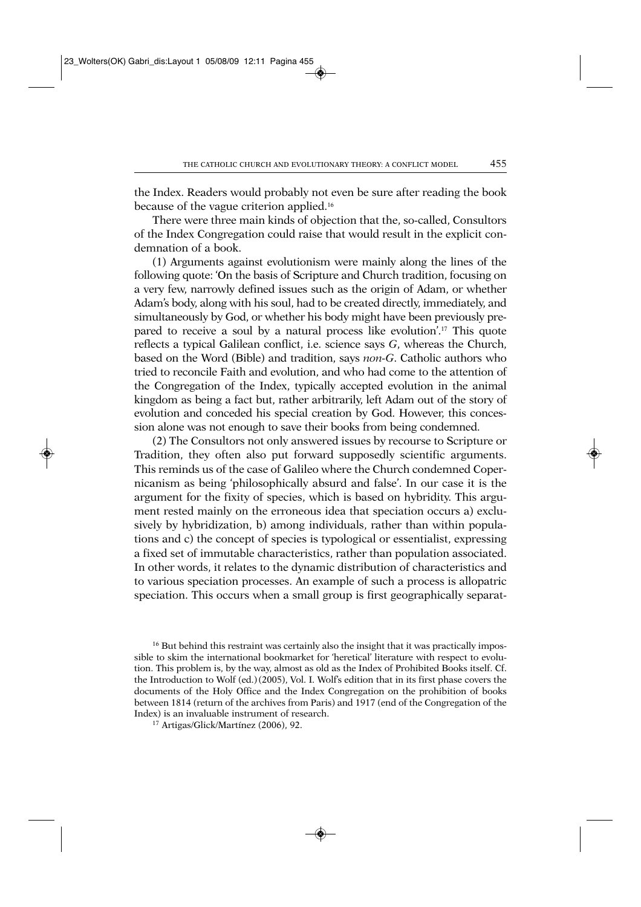the Index. Readers would probably not even be sure after reading the book because of the vague criterion applied.<sup>16</sup>

There were three main kinds of objection that the, so-called, Consultors of the Index Congregation could raise that would result in the explicit condemnation of a book.

(1) Arguments against evolutionism were mainly along the lines of the following quote: 'On the basis of Scripture and Church tradition, focusing on a very few, narrowly defined issues such as the origin of Adam, or whether Adam's body, along with his soul, had to be created directly, immediately, and simultaneously by God, or whether his body might have been previously prepared to receive a soul by a natural process like evolution'.17 This quote reflects a typical Galilean conflict, i.e. science says *G*, whereas the Church, based on the Word (Bible) and tradition, says *non-G*. Catholic authors who tried to reconcile Faith and evolution, and who had come to the attention of the Congregation of the Index, typically accepted evolution in the animal kingdom as being a fact but, rather arbitrarily, left Adam out of the story of evolution and conceded his special creation by God. However, this concession alone was not enough to save their books from being condemned.

(2) The Consultors not only answered issues by recourse to Scripture or Tradition, they often also put forward supposedly scientific arguments. This reminds us of the case of Galileo where the Church condemned Copernicanism as being 'philosophically absurd and false'. In our case it is the argument for the fixity of species, which is based on hybridity. This argument rested mainly on the erroneous idea that speciation occurs a) exclusively by hybridization, b) among individuals, rather than within populations and c) the concept of species is typological or essentialist, expressing a fixed set of immutable characteristics, rather than population associated. In other words, it relates to the dynamic distribution of characteristics and to various speciation processes. An example of such a process is allopatric speciation. This occurs when a small group is first geographically separat-

<sup>16</sup> But behind this restraint was certainly also the insight that it was practically impossible to skim the international bookmarket for 'heretical' literature with respect to evolution. This problem is, by the way, almost as old as the Index of Prohibited Books itself. Cf. the Introduction to Wolf (ed.) (2005), Vol. I. Wolf's edition that in its first phase covers the documents of the Holy Office and the Index Congregation on the prohibition of books between 1814 (return of the archives from Paris) and 1917 (end of the Congregation of the Index) is an invaluable instrument of research. 17 Artigas/Glick/Martínez (2006), 92.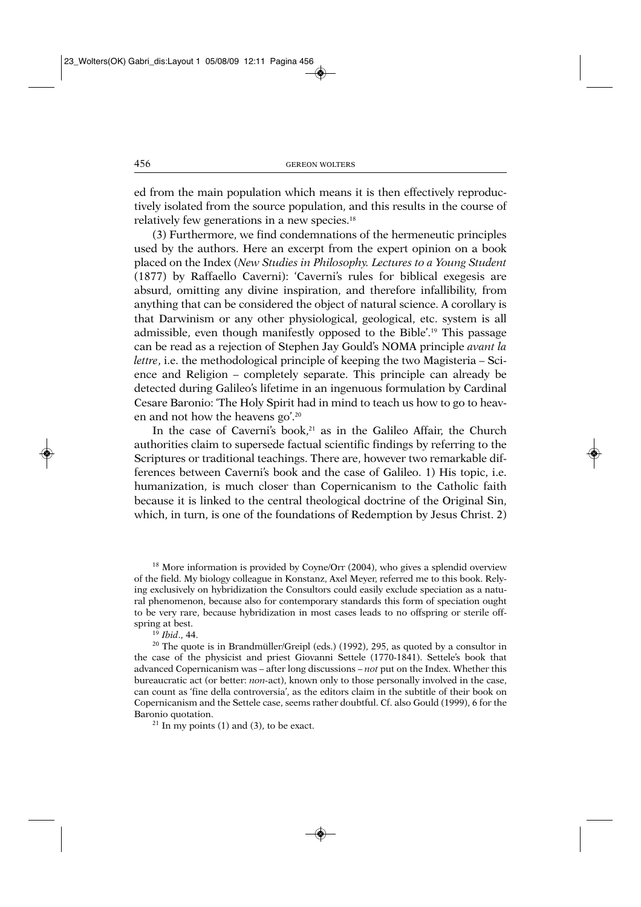ed from the main population which means it is then effectively reproductively isolated from the source population, and this results in the course of relatively few generations in a new species.18

(3) Furthermore, we find condemnations of the hermeneutic principles used by the authors. Here an excerpt from the expert opinion on a book placed on the Index (*New Studies in Philosophy. Lectures to a Young Student* (1877) by Raffaello Caverni): 'Caverni's rules for biblical exegesis are absurd, omitting any divine inspiration, and therefore infallibility, from anything that can be considered the object of natural science. A corollary is that Darwinism or any other physiological, geological, etc. system is all admissible, even though manifestly opposed to the Bible'.19 This passage can be read as a rejection of Stephen Jay Gould's NOMA principle *avant la lettre*, i.e. the methodological principle of keeping the two Magisteria – Science and Religion – completely separate. This principle can already be detected during Galileo's lifetime in an ingenuous formulation by Cardinal Cesare Baronio: 'The Holy Spirit had in mind to teach us how to go to heaven and not how the heavens go'.20

In the case of Caverni's book,<sup>21</sup> as in the Galileo Affair, the Church authorities claim to supersede factual scientific findings by referring to the Scriptures or traditional teachings. There are, however two remarkable differences between Caverni's book and the case of Galileo. 1) His topic, i.e. humanization, is much closer than Copernicanism to the Catholic faith because it is linked to the central theological doctrine of the Original Sin, which, in turn, is one of the foundations of Redemption by Jesus Christ. 2)

 $18$  More information is provided by Coyne/Orr (2004), who gives a splendid overview of the field. My biology colleague in Konstanz, Axel Meyer, referred me to this book. Relying exclusively on hybridization the Consultors could easily exclude speciation as a natural phenomenon, because also for contemporary standards this form of speciation ought to be very rare, because hybridization in most cases leads to no offspring or sterile offspring at best.<br><sup>19</sup> *Ibid.*, 44.<br><sup>20</sup> The quote is in Brandmüller/Greipl (eds.) (1992), 295, as quoted by a consultor in

the case of the physicist and priest Giovanni Settele (1770-1841). Settele's book that advanced Copernicanism was – after long discussions – *not* put on the Index. Whether this bureaucratic act (or better: *non-*act), known only to those personally involved in the case, can count as 'fine della controversia', as the editors claim in the subtitle of their book on Copernicanism and the Settele case, seems rather doubtful. Cf. also Gould (1999), 6 for the Baronio quotation.<br><sup>21</sup> In my points (1) and (3), to be exact.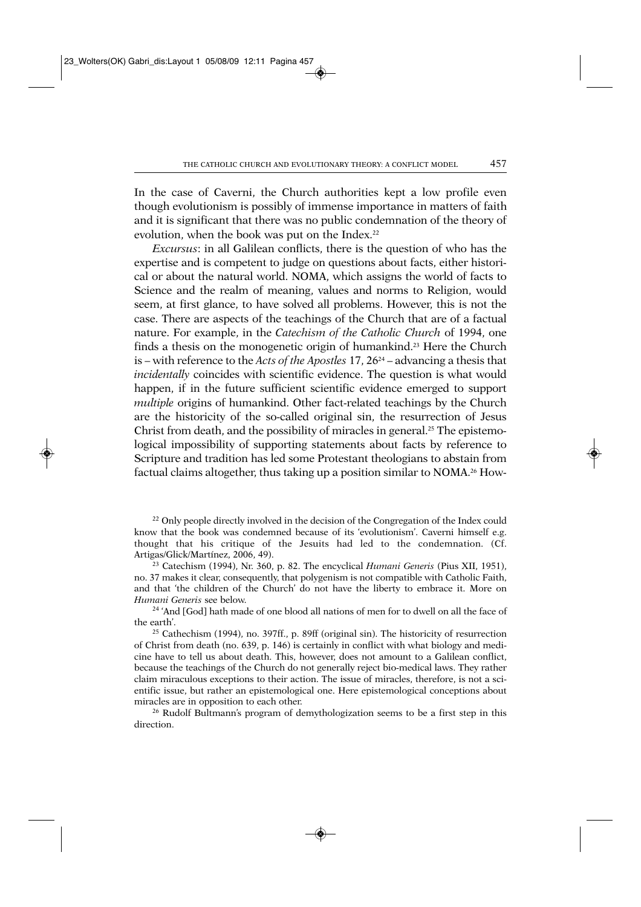In the case of Caverni, the Church authorities kept a low profile even though evolutionism is possibly of immense importance in matters of faith and it is significant that there was no public condemnation of the theory of evolution, when the book was put on the Index.<sup>22</sup>

*Excursus*: in all Galilean conflicts, there is the question of who has the expertise and is competent to judge on questions about facts, either historical or about the natural world. NOMA, which assigns the world of facts to Science and the realm of meaning, values and norms to Religion, would seem, at first glance, to have solved all problems. However, this is not the case. There are aspects of the teachings of the Church that are of a factual nature. For example, in the *Catechism of the Catholic Church* of 1994, one finds a thesis on the monogenetic origin of humankind.<sup>23</sup> Here the Church is – with reference to the *Acts of the Apostles* 17, 2624 – advancing a thesis that *incidentally* coincides with scientific evidence. The question is what would happen, if in the future sufficient scientific evidence emerged to support *multiple* origins of humankind. Other fact-related teachings by the Church are the historicity of the so-called original sin, the resurrection of Jesus Christ from death, and the possibility of miracles in general.<sup>25</sup> The epistemological impossibility of supporting statements about facts by reference to Scripture and tradition has led some Protestant theologians to abstain from factual claims altogether, thus taking up a position similar to NOMA.<sup>26</sup> How-

<sup>22</sup> Only people directly involved in the decision of the Congregation of the Index could know that the book was condemned because of its 'evolutionism'. Caverni himself e.g. thought that his critique of the Jesuits had led to the condemnation. (Cf. Artigas/Glick/Martínez, 2006, 49).

<sup>23</sup> Catechism (1994), Nr. 360, p. 82. The encyclical *Humani Generis* (Pius XII, 1951), no. 37 makes it clear, consequently, that polygenism is not compatible with Catholic Faith, and that 'the children of the Church' do not have the liberty to embrace it. More on *Humani Generis* see below.<br><sup>24</sup> 'And [God] hath made of one blood all nations of men for to dwell on all the face of

the earth'.

<sup>25</sup> Cathechism (1994), no. 397ff., p. 89ff (original sin). The historicity of resurrection of Christ from death (no. 639, p. 146) is certainly in conflict with what biology and medicine have to tell us about death. This, however, does not amount to a Galilean conflict, because the teachings of the Church do not generally reject bio-medical laws. They rather claim miraculous exceptions to their action. The issue of miracles, therefore, is not a scientific issue, but rather an epistemological one. Here epistemological conceptions about miracles are in opposition to each other.

<sup>26</sup> Rudolf Bultmann's program of demythologization seems to be a first step in this direction.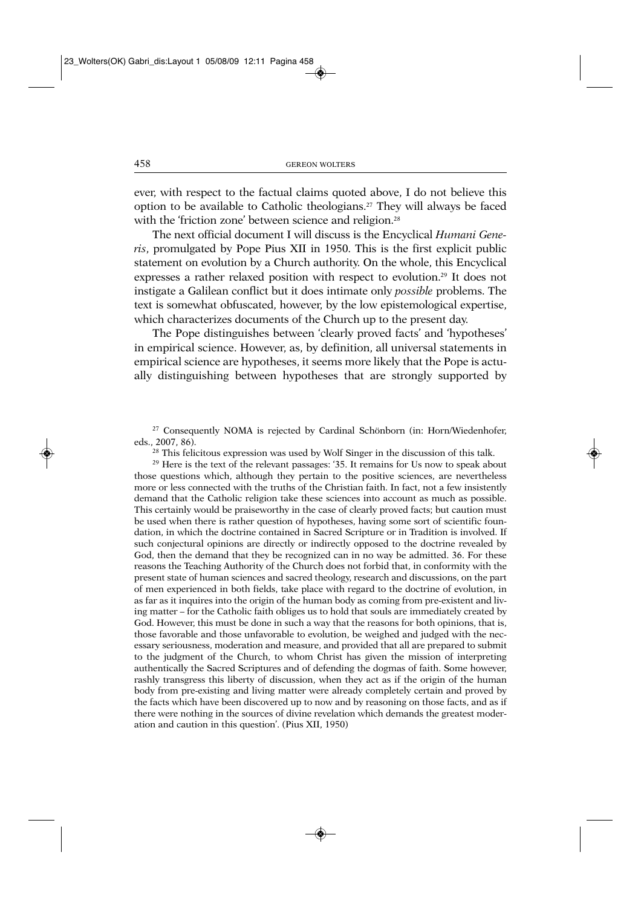ever, with respect to the factual claims quoted above, I do not believe this option to be available to Catholic theologians.27 They will always be faced with the 'friction zone' between science and religion.<sup>28</sup>

The next official document I will discuss is the Encyclical *Humani Generis*, promulgated by Pope Pius XII in 1950. This is the first explicit public statement on evolution by a Church authority. On the whole, this Encyclical expresses a rather relaxed position with respect to evolution.29 It does not instigate a Galilean conflict but it does intimate only *possible* problems. The text is somewhat obfuscated, however, by the low epistemological expertise, which characterizes documents of the Church up to the present day.

The Pope distinguishes between 'clearly proved facts' and 'hypotheses' in empirical science. However, as, by definition, all universal statements in empirical science are hypotheses, it seems more likely that the Pope is actually distinguishing between hypotheses that are strongly supported by

<sup>27</sup> Consequently NOMA is rejected by Cardinal Schönborn (in: Horn/Wiedenhofer, eds., 2007, 86).

 $28$  This felicitous expression was used by Wolf Singer in the discussion of this talk.

<sup>29</sup> Here is the text of the relevant passages: '35. It remains for Us now to speak about those questions which, although they pertain to the positive sciences, are nevertheless more or less connected with the truths of the Christian faith. In fact, not a few insistently demand that the Catholic religion take these sciences into account as much as possible. This certainly would be praiseworthy in the case of clearly proved facts; but caution must be used when there is rather question of hypotheses, having some sort of scientific foundation, in which the doctrine contained in Sacred Scripture or in Tradition is involved. If such conjectural opinions are directly or indirectly opposed to the doctrine revealed by God, then the demand that they be recognized can in no way be admitted. 36. For these reasons the Teaching Authority of the Church does not forbid that, in conformity with the present state of human sciences and sacred theology, research and discussions, on the part of men experienced in both fields, take place with regard to the doctrine of evolution, in as far as it inquires into the origin of the human body as coming from pre-existent and living matter – for the Catholic faith obliges us to hold that souls are immediately created by God. However, this must be done in such a way that the reasons for both opinions, that is, those favorable and those unfavorable to evolution, be weighed and judged with the necessary seriousness, moderation and measure, and provided that all are prepared to submit to the judgment of the Church, to whom Christ has given the mission of interpreting authentically the Sacred Scriptures and of defending the dogmas of faith. Some however, rashly transgress this liberty of discussion, when they act as if the origin of the human body from pre-existing and living matter were already completely certain and proved by the facts which have been discovered up to now and by reasoning on those facts, and as if there were nothing in the sources of divine revelation which demands the greatest moderation and caution in this question'. (Pius XII, 1950)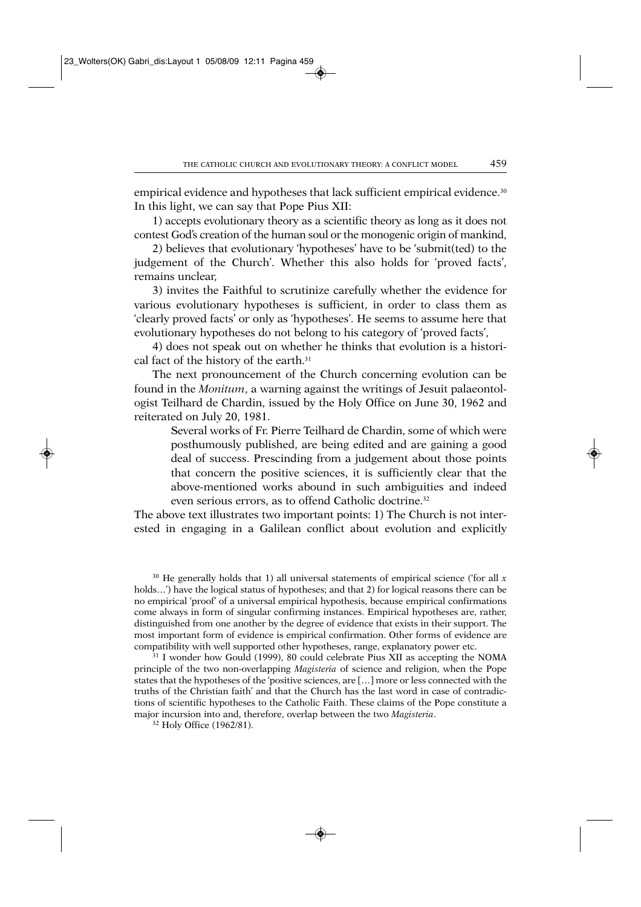empirical evidence and hypotheses that lack sufficient empirical evidence.<sup>30</sup> In this light, we can say that Pope Pius XII:

1) accepts evolutionary theory as a scientific theory as long as it does not contest God's creation of the human soul or the monogenic origin of mankind,

2) believes that evolutionary 'hypotheses' have to be 'submit(ted) to the judgement of the Church'. Whether this also holds for 'proved facts', remains unclear,

3) invites the Faithful to scrutinize carefully whether the evidence for various evolutionary hypotheses is sufficient, in order to class them as 'clearly proved facts' or only as 'hypotheses'. He seems to assume here that evolutionary hypotheses do not belong to his category of 'proved facts',

4) does not speak out on whether he thinks that evolution is a historical fact of the history of the earth.<sup>31</sup>

The next pronouncement of the Church concerning evolution can be found in the *Monitum*, a warning against the writings of Jesuit palaeontologist Teilhard de Chardin, issued by the Holy Office on June 30, 1962 and reiterated on July 20, 1981.

Several works of Fr. Pierre Teilhard de Chardin, some of which were posthumously published, are being edited and are gaining a good deal of success. Prescinding from a judgement about those points that concern the positive sciences, it is sufficiently clear that the above-mentioned works abound in such ambiguities and indeed even serious errors, as to offend Catholic doctrine.<sup>32</sup>

The above text illustrates two important points: 1) The Church is not interested in engaging in a Galilean conflict about evolution and explicitly

 $30$  He generally holds that 1) all universal statements of empirical science ('for all  $x$ holds...') have the logical status of hypotheses; and that 2) for logical reasons there can be no empirical 'proof' of a universal empirical hypothesis, because empirical confirmations come always in form of singular confirming instances. Empirical hypotheses are, rather, distinguished from one another by the degree of evidence that exists in their support. The most important form of evidence is empirical confirmation. Other forms of evidence are compatibility with well supported other hypotheses, range, explanatory power etc. 31 I wonder how Gould (1999), 80 could celebrate Pius XII as accepting the NOMA

principle of the two non-overlapping *Magisteria* of science and religion, when the Pope states that the hypotheses of the 'positive sciences, are […] more or less connected with the truths of the Christian faith' and that the Church has the last word in case of contradictions of scientific hypotheses to the Catholic Faith. These claims of the Pope constitute a major incursion into and, therefore, overlap between the two *Magisteria*.

<sup>32</sup> Holy Office (1962/81).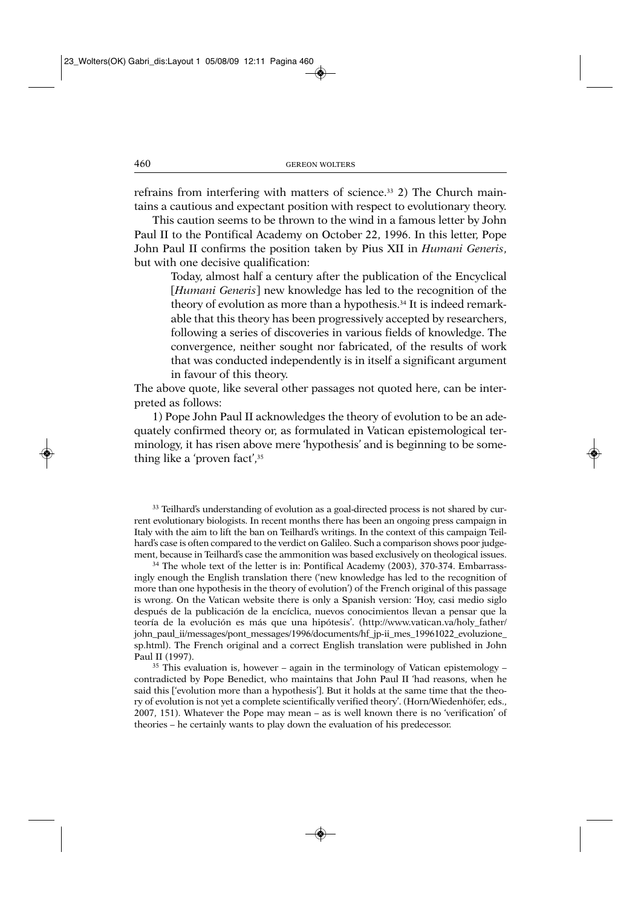refrains from interfering with matters of science.33 2) The Church maintains a cautious and expectant position with respect to evolutionary theory.

This caution seems to be thrown to the wind in a famous letter by John Paul II to the Pontifical Academy on October 22, 1996. In this letter, Pope John Paul II confirms the position taken by Pius XII in *Humani Generis*, but with one decisive qualification:

Today, almost half a century after the publication of the Encyclical [*Humani Generis*] new knowledge has led to the recognition of the theory of evolution as more than a hypothesis.34 It is indeed remarkable that this theory has been progressively accepted by researchers, following a series of discoveries in various fields of knowledge. The convergence, neither sought nor fabricated, of the results of work that was conducted independently is in itself a significant argument in favour of this theory.

The above quote, like several other passages not quoted here, can be interpreted as follows:

1) Pope John Paul II acknowledges the theory of evolution to be an adequately confirmed theory or, as formulated in Vatican epistemological terminology, it has risen above mere 'hypothesis' and is beginning to be something like a 'proven fact',35

<sup>33</sup> Teilhard's understanding of evolution as a goal-directed process is not shared by current evolutionary biologists. In recent months there has been an ongoing press campaign in Italy with the aim to lift the ban on Teilhard's writings. In the context of this campaign Teilhard's case is often compared to the verdict on Galileo. Such a comparison shows poor judgement, because in Teilhard's case the ammonition was based exclusively on theological issues.<br><sup>34</sup> The whole text of the letter is in: Pontifical Academy (2003), 370-374. Embarrass-

ingly enough the English translation there ('new knowledge has led to the recognition of more than one hypothesis in the theory of evolution') of the French original of this passage is wrong. On the Vatican website there is only a Spanish version: 'Hoy, casi medio siglo después de la publicación de la encíclica, nuevos conocimientos llevan a pensar que la teoría de la evolución es más que una hipótesis'. (http://www.vatican.va/holy\_father/ john\_paul\_ii/messages/pont\_messages/1996/documents/hf\_jp-ii\_mes\_19961022\_evoluzione\_ sp.html). The French original and a correct English translation were published in John Paul II (1997).  $35$  This evaluation is, however – again in the terminology of Vatican epistemology –

contradicted by Pope Benedict, who maintains that John Paul II 'had reasons, when he said this ['evolution more than a hypothesis']. But it holds at the same time that the theory of evolution is not yet a complete scientifically verified theory'. (Horn/Wiedenhöfer, eds., 2007, 151). Whatever the Pope may mean – as is well known there is no 'verification' of theories – he certainly wants to play down the evaluation of his predecessor.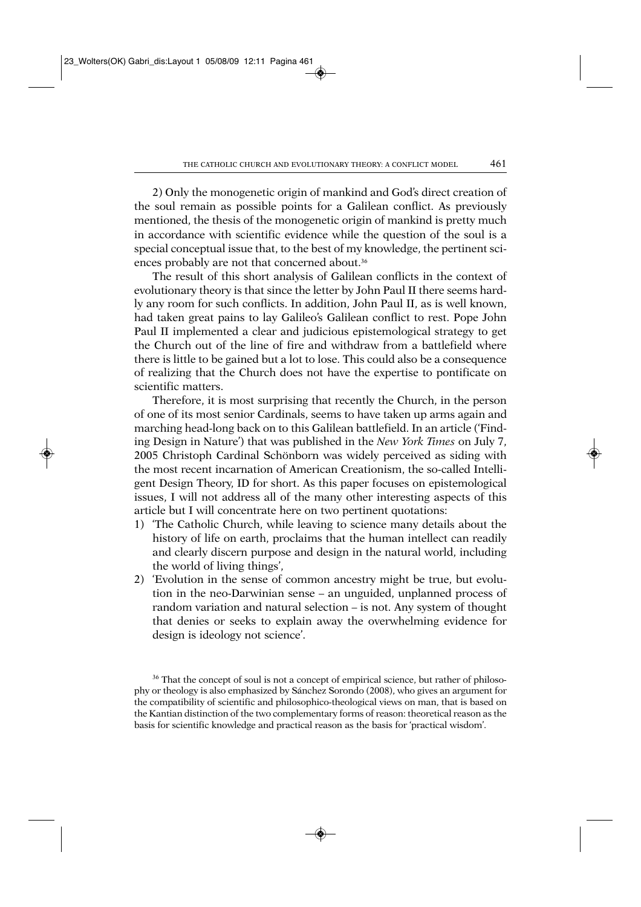2) Only the monogenetic origin of mankind and God's direct creation of the soul remain as possible points for a Galilean conflict. As previously mentioned, the thesis of the monogenetic origin of mankind is pretty much in accordance with scientific evidence while the question of the soul is a special conceptual issue that, to the best of my knowledge, the pertinent sciences probably are not that concerned about.<sup>36</sup>

The result of this short analysis of Galilean conflicts in the context of evolutionary theory is that since the letter by John Paul II there seems hardly any room for such conflicts. In addition, John Paul II, as is well known, had taken great pains to lay Galileo's Galilean conflict to rest. Pope John Paul II implemented a clear and judicious epistemological strategy to get the Church out of the line of fire and withdraw from a battlefield where there is little to be gained but a lot to lose. This could also be a consequence of realizing that the Church does not have the expertise to pontificate on scientific matters.

Therefore, it is most surprising that recently the Church, in the person of one of its most senior Cardinals, seems to have taken up arms again and marching head-long back on to this Galilean battlefield. In an article ('Finding Design in Nature') that was published in the *New York Times* on July 7, 2005 Christoph Cardinal Schönborn was widely perceived as siding with the most recent incarnation of American Creationism, the so-called Intelligent Design Theory, ID for short. As this paper focuses on epistemological issues, I will not address all of the many other interesting aspects of this article but I will concentrate here on two pertinent quotations:

- 1) 'The Catholic Church, while leaving to science many details about the history of life on earth, proclaims that the human intellect can readily and clearly discern purpose and design in the natural world, including the world of living things',
- 2) 'Evolution in the sense of common ancestry might be true, but evolution in the neo-Darwinian sense – an unguided, unplanned process of random variation and natural selection – is not. Any system of thought that denies or seeks to explain away the overwhelming evidence for design is ideology not science'.

<sup>&</sup>lt;sup>36</sup> That the concept of soul is not a concept of empirical science, but rather of philosophy or theology is also emphasized by Sánchez Sorondo (2008), who gives an argument for the compatibility of scientific and philosophico-theological views on man, that is based on the Kantian distinction of the two complementary forms of reason: theoretical reason as the basis for scientific knowledge and practical reason as the basis for 'practical wisdom'.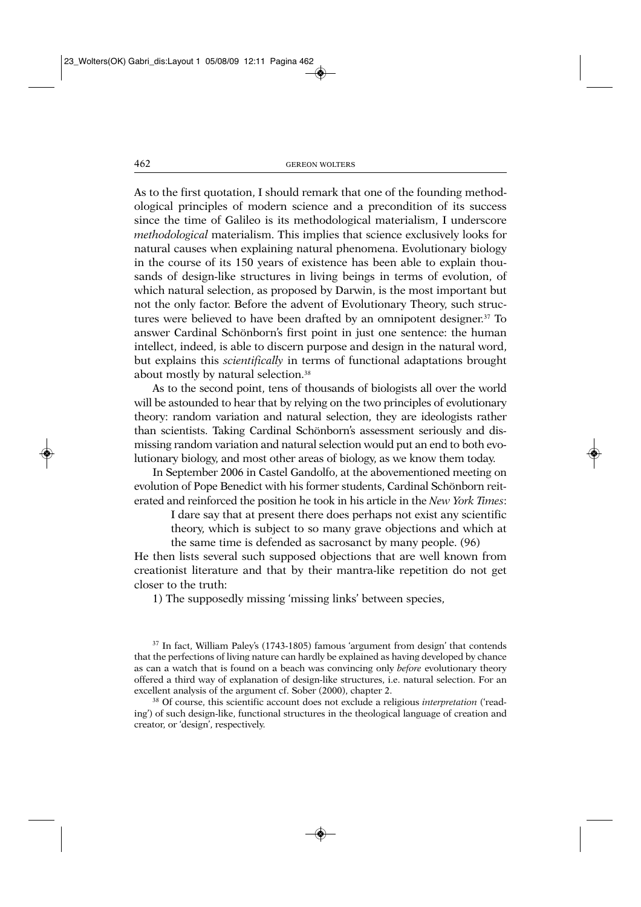As to the first quotation, I should remark that one of the founding methodological principles of modern science and a precondition of its success since the time of Galileo is its methodological materialism, I underscore *methodological* materialism. This implies that science exclusively looks for natural causes when explaining natural phenomena. Evolutionary biology in the course of its 150 years of existence has been able to explain thousands of design-like structures in living beings in terms of evolution, of which natural selection, as proposed by Darwin, is the most important but not the only factor. Before the advent of Evolutionary Theory, such structures were believed to have been drafted by an omnipotent designer.37 To answer Cardinal Schönborn's first point in just one sentence: the human intellect, indeed, is able to discern purpose and design in the natural word, but explains this *scientifically* in terms of functional adaptations brought about mostly by natural selection.<sup>38</sup>

As to the second point, tens of thousands of biologists all over the world will be astounded to hear that by relying on the two principles of evolutionary theory: random variation and natural selection, they are ideologists rather than scientists. Taking Cardinal Schönborn's assessment seriously and dismissing random variation and natural selection would put an end to both evolutionary biology, and most other areas of biology, as we know them today.

In September 2006 in Castel Gandolfo, at the abovementioned meeting on evolution of Pope Benedict with his former students, Cardinal Schönborn reiterated and reinforced the position he took in his article in the *New York Times*:

I dare say that at present there does perhaps not exist any scientific theory, which is subject to so many grave objections and which at the same time is defended as sacrosanct by many people. (96)

He then lists several such supposed objections that are well known from creationist literature and that by their mantra-like repetition do not get closer to the truth:

1) The supposedly missing 'missing links' between species,

<sup>37</sup> In fact, William Paley's (1743-1805) famous 'argument from design' that contends that the perfections of living nature can hardly be explained as having developed by chance as can a watch that is found on a beach was convincing only *before* evolutionary theory offered a third way of explanation of design-like structures, i.e. natural selection. For an excellent analysis of the argument cf. Sober (2000), chapter 2. 38 Of course, this scientific account does not exclude a religious *interpretation* ('read-

ing') of such design-like, functional structures in the theological language of creation and creator, or 'design', respectively.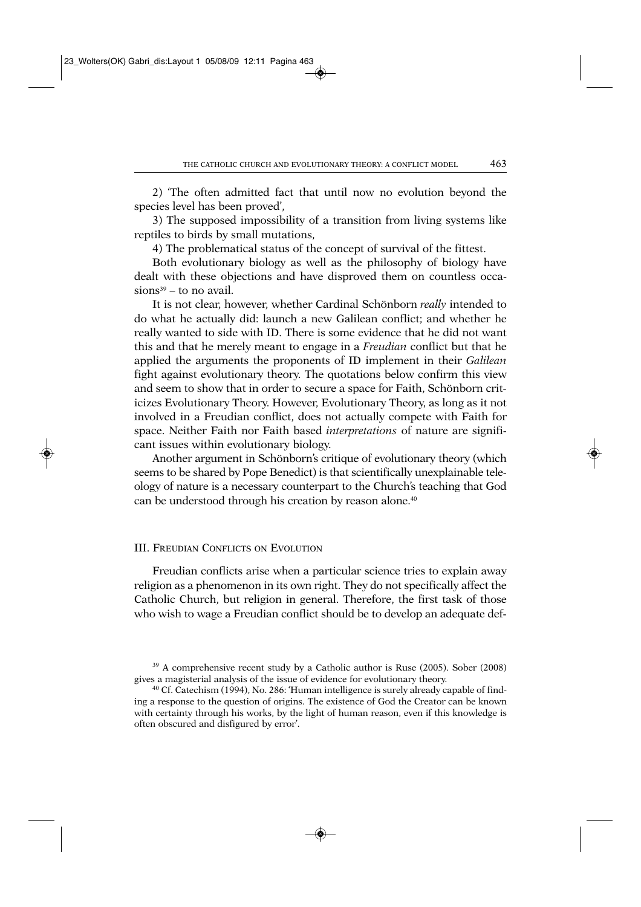2) 'The often admitted fact that until now no evolution beyond the species level has been proved',

3) The supposed impossibility of a transition from living systems like reptiles to birds by small mutations,

4) The problematical status of the concept of survival of the fittest.

Both evolutionary biology as well as the philosophy of biology have dealt with these objections and have disproved them on countless occa $sions<sup>39</sup> - to no avail.$ 

It is not clear, however, whether Cardinal Schönborn *really* intended to do what he actually did: launch a new Galilean conflict; and whether he really wanted to side with ID. There is some evidence that he did not want this and that he merely meant to engage in a *Freudian* conflict but that he applied the arguments the proponents of ID implement in their *Galilean* fight against evolutionary theory. The quotations below confirm this view and seem to show that in order to secure a space for Faith, Schönborn criticizes Evolutionary Theory. However, Evolutionary Theory, as long as it not involved in a Freudian conflict, does not actually compete with Faith for space. Neither Faith nor Faith based *interpretations* of nature are significant issues within evolutionary biology.

Another argument in Schönborn's critique of evolutionary theory (which seems to be shared by Pope Benedict) is that scientifically unexplainable teleology of nature is a necessary counterpart to the Church's teaching that God can be understood through his creation by reason alone.<sup>40</sup>

#### III. FREUDIAN CONFLICTS ON EVOLUTION

Freudian conflicts arise when a particular science tries to explain away religion as a phenomenon in its own right. They do not specifically affect the Catholic Church, but religion in general. Therefore, the first task of those who wish to wage a Freudian conflict should be to develop an adequate def-

<sup>&</sup>lt;sup>39</sup> A comprehensive recent study by a Catholic author is Ruse (2005). Sober (2008) gives a magisterial analysis of the issue of evidence for evolutionary theory.<br><sup>40</sup> Cf. Catechism (1994), No. 286: 'Human intelligence is surely already capable of find-

ing a response to the question of origins. The existence of God the Creator can be known with certainty through his works, by the light of human reason, even if this knowledge is often obscured and disfigured by error'.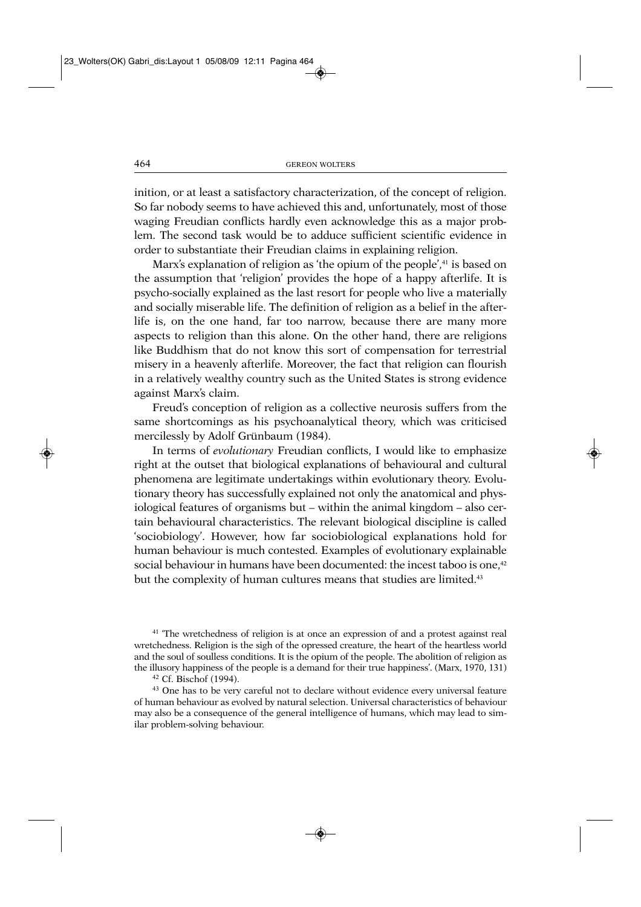inition, or at least a satisfactory characterization, of the concept of religion. So far nobody seems to have achieved this and, unfortunately, most of those waging Freudian conflicts hardly even acknowledge this as a major problem. The second task would be to adduce sufficient scientific evidence in order to substantiate their Freudian claims in explaining religion.

Marx's explanation of religion as 'the opium of the people',<sup>41</sup> is based on the assumption that 'religion' provides the hope of a happy afterlife. It is psycho-socially explained as the last resort for people who live a materially and socially miserable life. The definition of religion as a belief in the afterlife is, on the one hand, far too narrow, because there are many more aspects to religion than this alone. On the other hand, there are religions like Buddhism that do not know this sort of compensation for terrestrial misery in a heavenly afterlife. Moreover, the fact that religion can flourish in a relatively wealthy country such as the United States is strong evidence against Marx's claim.

Freud's conception of religion as a collective neurosis suffers from the same shortcomings as his psychoanalytical theory, which was criticised mercilessly by Adolf Grünbaum (1984).

In terms of *evolutionary* Freudian conflicts, I would like to emphasize right at the outset that biological explanations of behavioural and cultural phenomena are legitimate undertakings within evolutionary theory. Evolutionary theory has successfully explained not only the anatomical and physiological features of organisms but – within the animal kingdom – also certain behavioural characteristics. The relevant biological discipline is called 'sociobiology'. However, how far sociobiological explanations hold for human behaviour is much contested. Examples of evolutionary explainable social behaviour in humans have been documented: the incest taboo is one,<sup>42</sup> but the complexity of human cultures means that studies are limited.<sup>43</sup>

<sup>41</sup> The wretchedness of religion is at once an expression of and a protest against real wretchedness. Religion is the sigh of the opressed creature, the heart of the heartless world and the soul of soulless conditions. It is the opium of the people. The abolition of religion as the illusory happiness of the people is a demand for their true happiness'. (Marx, 1970, 131)

<sup>42</sup> Cf. Bischof (1994).

<sup>43</sup> One has to be very careful not to declare without evidence every universal feature of human behaviour as evolved by natural selection. Universal characteristics of behaviour may also be a consequence of the general intelligence of humans, which may lead to similar problem-solving behaviour.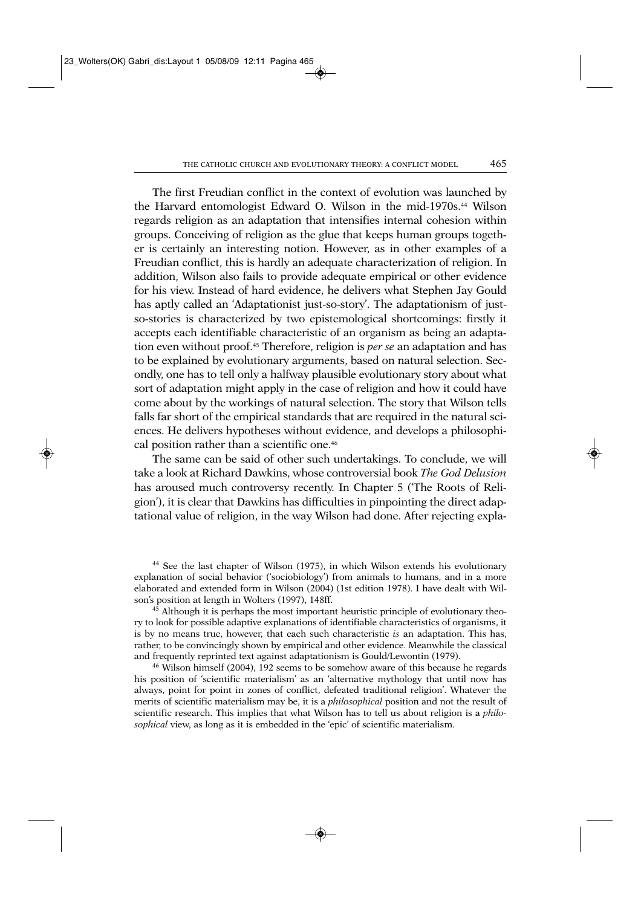The first Freudian conflict in the context of evolution was launched by the Harvard entomologist Edward O. Wilson in the mid-1970s.44 Wilson regards religion as an adaptation that intensifies internal cohesion within groups. Conceiving of religion as the glue that keeps human groups together is certainly an interesting notion. However, as in other examples of a Freudian conflict, this is hardly an adequate characterization of religion. In addition, Wilson also fails to provide adequate empirical or other evidence for his view. Instead of hard evidence, he delivers what Stephen Jay Gould has aptly called an 'Adaptationist just-so-story'. The adaptationism of justso-stories is characterized by two epistemological shortcomings: firstly it accepts each identifiable characteristic of an organism as being an adaptation even without proof.45 Therefore, religion is *per se* an adaptation and has to be explained by evolutionary arguments, based on natural selection. Secondly, one has to tell only a halfway plausible evolutionary story about what sort of adaptation might apply in the case of religion and how it could have come about by the workings of natural selection. The story that Wilson tells falls far short of the empirical standards that are required in the natural sciences. He delivers hypotheses without evidence, and develops a philosophical position rather than a scientific one.<sup>46</sup>

The same can be said of other such undertakings. To conclude, we will take a look at Richard Dawkins, whose controversial book *The God Delusion* has aroused much controversy recently. In Chapter 5 ('The Roots of Religion'), it is clear that Dawkins has difficulties in pinpointing the direct adaptational value of religion, in the way Wilson had done. After rejecting expla-

<sup>44</sup> See the last chapter of Wilson (1975), in which Wilson extends his evolutionary explanation of social behavior ('sociobiology') from animals to humans, and in a more elaborated and extended form in Wilson (2004) (1st edition 1978). I have dealt with Wilson's position at length in Wolters (1997), 148ff.

<sup>45</sup> Although it is perhaps the most important heuristic principle of evolutionary theory to look for possible adaptive explanations of identifiable characteristics of organisms, it is by no means true, however, that each such characteristic *is* an adaptation. This has, rather, to be convincingly shown by empirical and other evidence. Meanwhile the classical and frequently reprinted text against adaptationism is Gould/Lewontin (1979).

<sup>46</sup> Wilson himself (2004), 192 seems to be somehow aware of this because he regards his position of 'scientific materialism' as an 'alternative mythology that until now has always, point for point in zones of conflict, defeated traditional religion'. Whatever the merits of scientific materialism may be, it is a *philosophical* position and not the result of scientific research. This implies that what Wilson has to tell us about religion is a *philosophical* view, as long as it is embedded in the 'epic' of scientific materialism.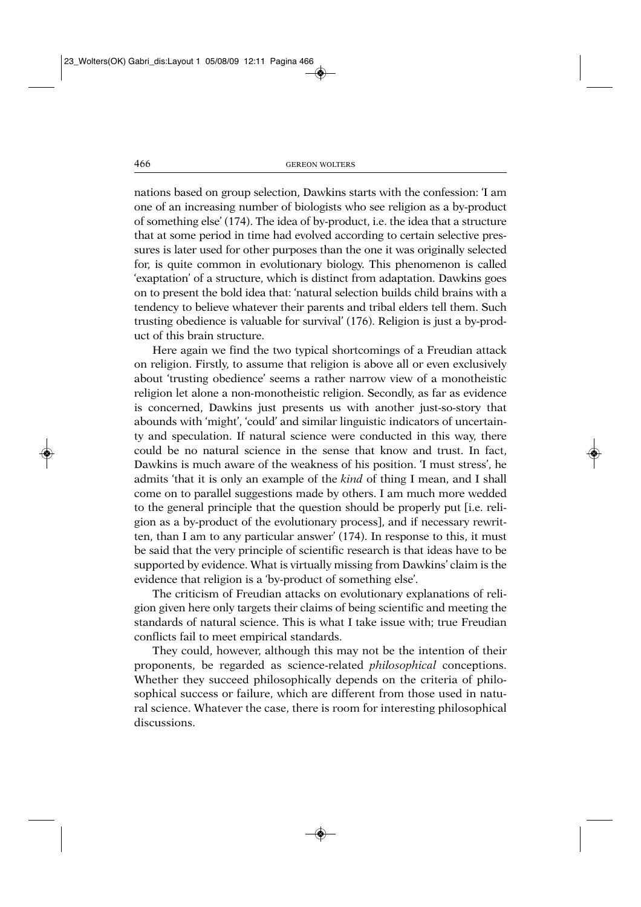nations based on group selection, Dawkins starts with the confession: 'I am one of an increasing number of biologists who see religion as a by-product of something else' (174). The idea of by-product, i.e. the idea that a structure that at some period in time had evolved according to certain selective pressures is later used for other purposes than the one it was originally selected for, is quite common in evolutionary biology. This phenomenon is called 'exaptation' of a structure, which is distinct from adaptation. Dawkins goes on to present the bold idea that: 'natural selection builds child brains with a tendency to believe whatever their parents and tribal elders tell them. Such trusting obedience is valuable for survival' (176). Religion is just a by-product of this brain structure.

Here again we find the two typical shortcomings of a Freudian attack on religion. Firstly, to assume that religion is above all or even exclusively about 'trusting obedience' seems a rather narrow view of a monotheistic religion let alone a non-monotheistic religion. Secondly, as far as evidence is concerned, Dawkins just presents us with another just-so-story that abounds with 'might', 'could' and similar linguistic indicators of uncertainty and speculation. If natural science were conducted in this way, there could be no natural science in the sense that know and trust. In fact, Dawkins is much aware of the weakness of his position. 'I must stress', he admits 'that it is only an example of the *kind* of thing I mean, and I shall come on to parallel suggestions made by others. I am much more wedded to the general principle that the question should be properly put [i.e. religion as a by-product of the evolutionary process], and if necessary rewritten, than I am to any particular answer' (174). In response to this, it must be said that the very principle of scientific research is that ideas have to be supported by evidence. What is virtually missing from Dawkins' claim is the evidence that religion is a 'by-product of something else'.

The criticism of Freudian attacks on evolutionary explanations of religion given here only targets their claims of being scientific and meeting the standards of natural science. This is what I take issue with; true Freudian conflicts fail to meet empirical standards.

They could, however, although this may not be the intention of their proponents, be regarded as science-related *philosophical* conceptions. Whether they succeed philosophically depends on the criteria of philosophical success or failure, which are different from those used in natural science. Whatever the case, there is room for interesting philosophical discussions.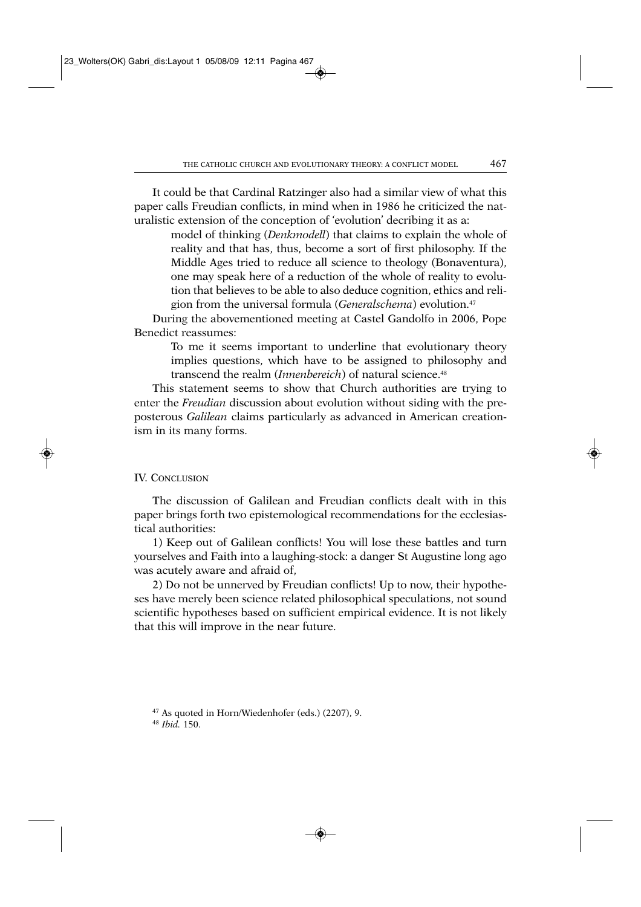It could be that Cardinal Ratzinger also had a similar view of what this paper calls Freudian conflicts, in mind when in 1986 he criticized the naturalistic extension of the conception of 'evolution' decribing it as a:

model of thinking (*Denkmodell*) that claims to explain the whole of reality and that has, thus, become a sort of first philosophy. If the Middle Ages tried to reduce all science to theology (Bonaventura), one may speak here of a reduction of the whole of reality to evolution that believes to be able to also deduce cognition, ethics and religion from the universal formula (*Generalschema*) evolution.47

During the abovementioned meeting at Castel Gandolfo in 2006, Pope Benedict reassumes:

To me it seems important to underline that evolutionary theory implies questions, which have to be assigned to philosophy and transcend the realm (*Innenbereich*) of natural science.48

This statement seems to show that Church authorities are trying to enter the *Freudian* discussion about evolution without siding with the preposterous *Galilean* claims particularly as advanced in American creationism in its many forms.

# IV. CONCLUSION

The discussion of Galilean and Freudian conflicts dealt with in this paper brings forth two epistemological recommendations for the ecclesiastical authorities:

1) Keep out of Galilean conflicts! You will lose these battles and turn yourselves and Faith into a laughing-stock: a danger St Augustine long ago was acutely aware and afraid of,

2) Do not be unnerved by Freudian conflicts! Up to now, their hypotheses have merely been science related philosophical speculations, not sound scientific hypotheses based on sufficient empirical evidence. It is not likely that this will improve in the near future.

<sup>47</sup> As quoted in Horn/Wiedenhofer (eds.) (2207), 9. 48 *Ibid.* 150.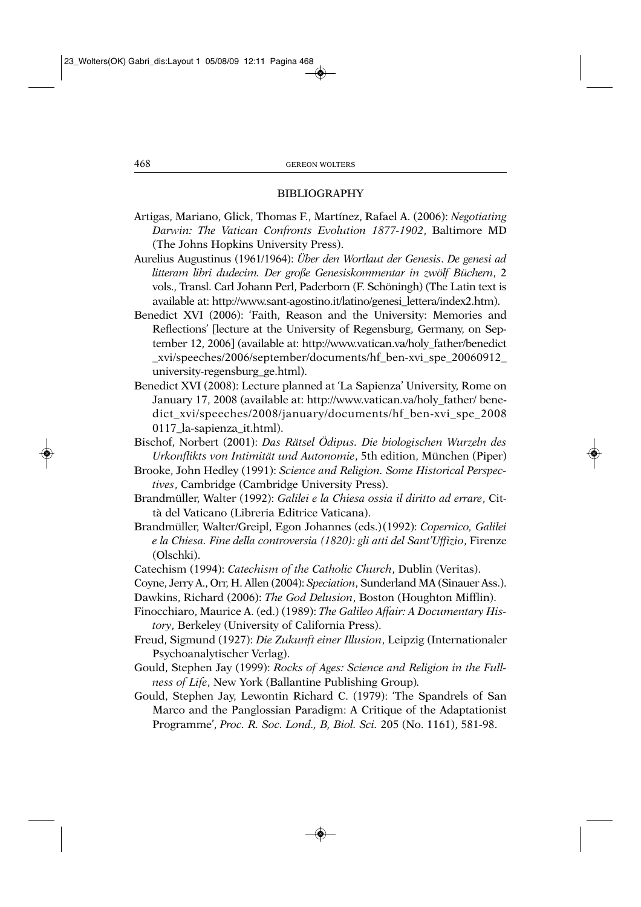## BIBLIOGRAPHY

- Artigas, Mariano, Glick, Thomas F., Martínez, Rafael A. (2006): *Negotiating Darwin: The Vatican Confronts Evolution 1877-1902*, Baltimore MD (The Johns Hopkins University Press).
- Aurelius Augustinus (1961/1964): *Über den Wortlaut der Genesis*. *De genesi ad litteram libri dudecim. Der große Genesiskommentar in zwölf Büchern*, 2 vols., Transl. Carl Johann Perl, Paderborn (F. Schöningh) (The Latin text is available at: http://www.sant-agostino.it/latino/genesi\_lettera/index2.htm).
- Benedict XVI (2006): 'Faith, Reason and the University: Memories and Reflections' [lecture at the University of Regensburg, Germany, on September 12, 2006] (available at: http://www.vatican.va/holy\_father/benedict \_xvi/speeches/2006/september/documents/hf\_ben-xvi\_spe\_20060912\_ university-regensburg\_ge.html).
- Benedict XVI (2008): Lecture planned at 'La Sapienza' University, Rome on January 17, 2008 (available at: http://www.vatican.va/holy\_father/ benedict\_xvi/speeches/2008/january/documents/hf\_ben-xvi\_spe\_2008 0117\_la-sapienza\_it.html).
- Bischof, Norbert (2001): *Das Rätsel Ödipus. Die biologischen Wurzeln des Urkonflikts von Intimität und Autonomie*, 5th edition, München (Piper)
- Brooke, John Hedley (1991): *Science and Religion. Some Historical Perspectives*, Cambridge (Cambridge University Press).
- Brandmüller, Walter (1992): *Galilei e la Chiesa ossia il diritto ad errare*, Città del Vaticano (Libreria Editrice Vaticana).
- Brandmüller, Walter/Greipl, Egon Johannes (eds.)(1992): *Copernico, Galilei e la Chiesa. Fine della controversia (1820): gli atti del Sant'Uffizio*, Firenze (Olschki).
- Catechism (1994): *Catechism of the Catholic Church*, Dublin (Veritas).
- Coyne, Jerry A., Orr, H. Allen (2004): *Speciation*, Sunderland MA (Sinauer Ass.).
- Dawkins, Richard (2006): *The God Delusion*, Boston (Houghton Mifflin).
- Finocchiaro, Maurice A. (ed.) (1989): *The Galileo Affair: A Documentary History*, Berkeley (University of California Press).
- Freud, Sigmund (1927): *Die Zukunft einer Illusion*, Leipzig (Internationaler Psychoanalytischer Verlag).
- Gould, Stephen Jay (1999): *Rocks of Ages: Science and Religion in the Fullness of Life*, New York (Ballantine Publishing Group)*.*
- Gould, Stephen Jay, Lewontin Richard C. (1979): 'The Spandrels of San Marco and the Panglossian Paradigm: A Critique of the Adaptationist Programme', *Proc. R. Soc. Lond., B, Biol. Sci.* 205 (No. 1161), 581-98.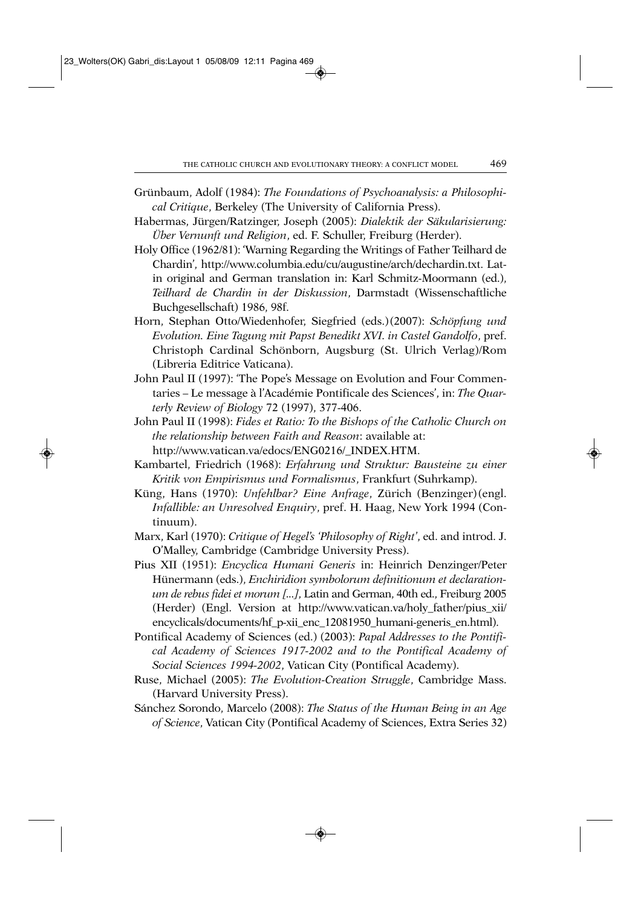- Grünbaum, Adolf (1984): *The Foundations of Psychoanalysis: a Philosophical Critique*, Berkeley (The University of California Press).
- Habermas, Jürgen/Ratzinger, Joseph (2005): *Dialektik der Säkularisierung: Über Vernunft und Religion*, ed. F. Schuller, Freiburg (Herder).
- Holy Office (1962/81): 'Warning Regarding the Writings of Father Teilhard de Chardin', http://www.columbia.edu/cu/augustine/arch/dechardin.txt. Latin original and German translation in: Karl Schmitz-Moormann (ed.), *Teilhard de Chardin in der Diskussion*, Darmstadt (Wissenschaftliche Buchgesellschaft) 1986, 98f.
- Horn, Stephan Otto/Wiedenhofer, Siegfried (eds.)(2007): *Schöpfung und Evolution. Eine Tagung mit Papst Benedikt XVI. in Castel Gandolfo*, pref. Christoph Cardinal Schönborn, Augsburg (St. Ulrich Verlag)/Rom (Libreria Editrice Vaticana).
- John Paul II (1997): 'The Pope's Message on Evolution and Four Commentaries – Le message à l'Académie Pontificale des Sciences', in: *The Quarterly Review of Biology* 72 (1997), 377-406.
- John Paul II (1998): *Fides et Ratio: To the Bishops of the Catholic Church on the relationship between Faith and Reason*: available at: http://www.vatican.va/edocs/ENG0216/\_INDEX.HTM.
- Kambartel, Friedrich (1968): *Erfahrung und Struktur: Bausteine zu einer Kritik von Empirismus und Formalismus*, Frankfurt (Suhrkamp).
- Küng, Hans (1970): *Unfehlbar? Eine Anfrage*, Zürich (Benzinger)(engl. *Infallible: an Unresolved Enquiry*, pref. H. Haag, New York 1994 (Continuum).
- Marx, Karl (1970): *Critique of Hegel's 'Philosophy of Right'*, ed. and introd. J. O'Malley, Cambridge (Cambridge University Press).
- Pius XII (1951): *Encyclica Humani Generis* in: Heinrich Denzinger/Peter Hünermann (eds.), *Enchiridion symbolorum definitionum et declarationum de rebus fidei et morum [...]*, Latin and German, 40th ed., Freiburg 2005 (Herder) (Engl. Version at http://www.vatican.va/holy\_father/pius\_xii/ encyclicals/documents/hf\_p-xii\_enc\_12081950\_humani-generis\_en.html).
- Pontifical Academy of Sciences (ed.) (2003): *Papal Addresses to the Pontifical Academy of Sciences 1917-2002 and to the Pontifical Academy of Social Sciences 1994-2002*, Vatican City (Pontifical Academy).
- Ruse, Michael (2005): *The Evolution-Creation Struggle*, Cambridge Mass. (Harvard University Press).
- Sánchez Sorondo, Marcelo (2008): *The Status of the Human Being in an Age of Science*, Vatican City (Pontifical Academy of Sciences, Extra Series 32)